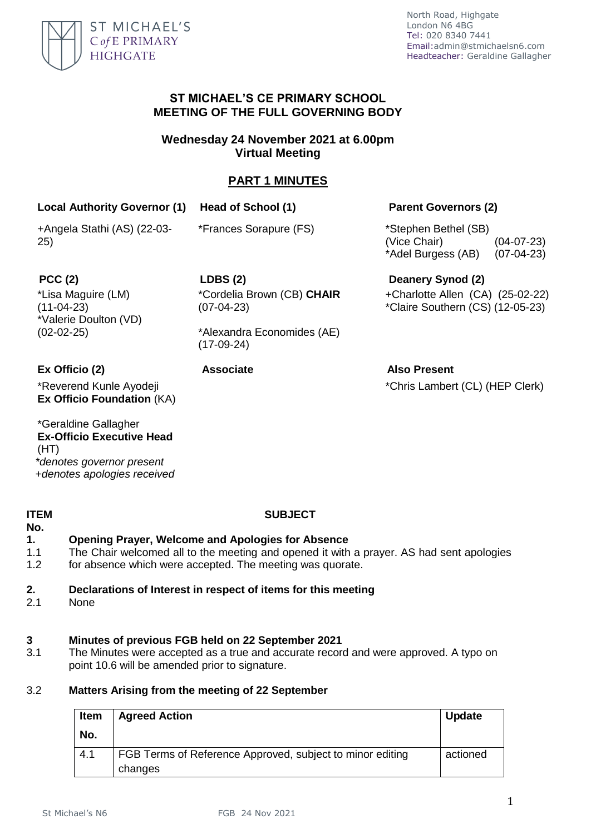

### **ST MICHAEL'S CE PRIMARY SCHOOL MEETING OF THE FULL GOVERNING BODY**

## **Wednesday 24 November 2021 at 6.00pm Virtual Meeting**

# **PART 1 MINUTES**

# **Local Authority Governor (1) Head of School (1) Parent Governors (2)**

+Angela Stathi (AS) (22-03- 25)

\*Frances Sorapure (FS) \*Stephen Bethel (SB)

(Vice Chair) (04-07-23) \*Adel Burgess (AB) (07-04-23)

\*Lisa Maguire (LM)  $(11-04-23)$ \*Valerie Doulton (VD) (02-02-25)

**PCC (2) LDBS (2) Deanery Synod (2)** \*Cordelia Brown (CB) **CHAIR** (07-04-23)

> \*Alexandra Economides (AE) (17-09-24)

\*Reverend Kunle Ayodeji **Ex Officio Foundation** (KA)

\*Geraldine Gallagher **Ex-Officio Executive Head**  (HT) *\*denotes governor present +denotes apologies received*

#### **ITEM No.**

### **SUBJECT**

### **1. Opening Prayer, Welcome and Apologies for Absence**

- 1.1 The Chair welcomed all to the meeting and opened it with a prayer. AS had sent apologies
- 1.2 for absence which were accepted. The meeting was quorate.

### **2. Declarations of Interest in respect of items for this meeting**

2.1 None

#### **3 Minutes of previous FGB held on 22 September 2021**

3.1 The Minutes were accepted as a true and accurate record and were approved. A typo on point 10.6 will be amended prior to signature.

#### 3.2 **Matters Arising from the meeting of 22 September**

| <b>Item</b> | <b>Agreed Action</b>                                                 | <b>Update</b> |
|-------------|----------------------------------------------------------------------|---------------|
| No.         |                                                                      |               |
| 4.1         | FGB Terms of Reference Approved, subject to minor editing<br>changes | actioned      |

+Charlotte Allen (CA) (25-02-22) \*Claire Southern (CS) (12-05-23)

**Ex Officio (2) Associate Also Present** \*Chris Lambert (CL) (HEP Clerk)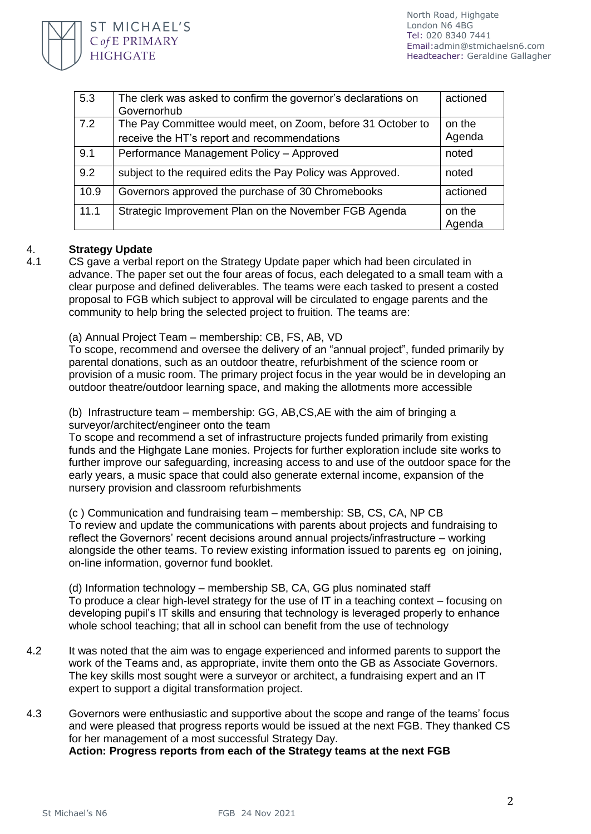

| 5.3  | The clerk was asked to confirm the governor's declarations on<br>Governorhub                               | actioned         |
|------|------------------------------------------------------------------------------------------------------------|------------------|
| 7.2  | The Pay Committee would meet, on Zoom, before 31 October to<br>receive the HT's report and recommendations | on the<br>Agenda |
| 9.1  | Performance Management Policy - Approved                                                                   | noted            |
| 9.2  | subject to the required edits the Pay Policy was Approved.                                                 | noted            |
| 10.9 | Governors approved the purchase of 30 Chromebooks                                                          | actioned         |
| 11.1 | Strategic Improvement Plan on the November FGB Agenda                                                      | on the<br>Agenda |

#### 4. **Strategy Update**

4.1 CS gave a verbal report on the Strategy Update paper which had been circulated in advance. The paper set out the four areas of focus, each delegated to a small team with a clear purpose and defined deliverables. The teams were each tasked to present a costed proposal to FGB which subject to approval will be circulated to engage parents and the community to help bring the selected project to fruition. The teams are:

(a) Annual Project Team – membership: CB, FS, AB, VD

To scope, recommend and oversee the delivery of an "annual project", funded primarily by parental donations, such as an outdoor theatre, refurbishment of the science room or provision of a music room. The primary project focus in the year would be in developing an outdoor theatre/outdoor learning space, and making the allotments more accessible

(b) Infrastructure team – membership: GG, AB,CS,AE with the aim of bringing a surveyor/architect/engineer onto the team

To scope and recommend a set of infrastructure projects funded primarily from existing funds and the Highgate Lane monies. Projects for further exploration include site works to further improve our safeguarding, increasing access to and use of the outdoor space for the early years, a music space that could also generate external income, expansion of the nursery provision and classroom refurbishments

(c ) Communication and fundraising team – membership: SB, CS, CA, NP CB To review and update the communications with parents about projects and fundraising to reflect the Governors' recent decisions around annual projects/infrastructure – working alongside the other teams. To review existing information issued to parents eg on joining, on-line information, governor fund booklet.

(d) Information technology – membership SB, CA, GG plus nominated staff To produce a clear high-level strategy for the use of IT in a teaching context – focusing on developing pupil's IT skills and ensuring that technology is leveraged properly to enhance whole school teaching; that all in school can benefit from the use of technology

- 4.2 It was noted that the aim was to engage experienced and informed parents to support the work of the Teams and, as appropriate, invite them onto the GB as Associate Governors. The key skills most sought were a surveyor or architect, a fundraising expert and an IT expert to support a digital transformation project.
- 4.3 Governors were enthusiastic and supportive about the scope and range of the teams' focus and were pleased that progress reports would be issued at the next FGB. They thanked CS for her management of a most successful Strategy Day. **Action: Progress reports from each of the Strategy teams at the next FGB**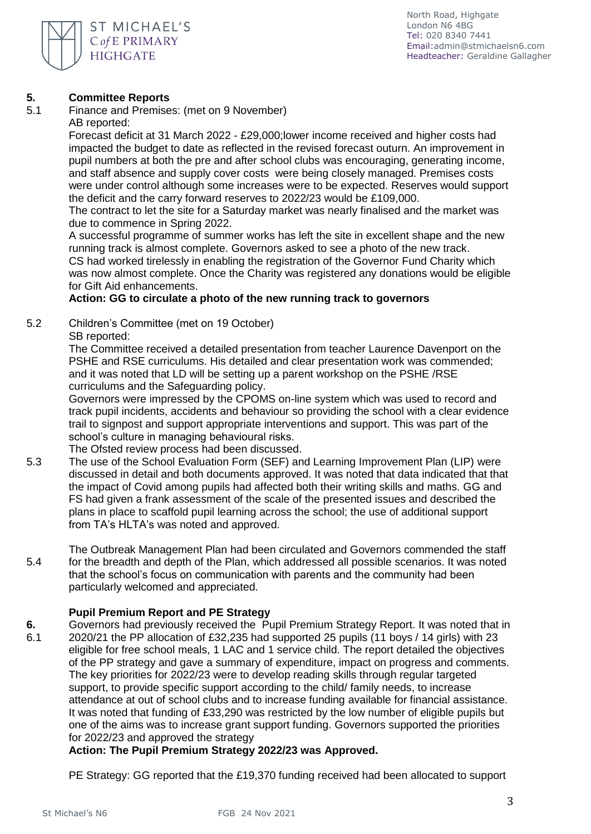

#### **5. Committee Reports**

5.1 Finance and Premises: (met on 9 November) AB reported:

Forecast deficit at 31 March 2022 - £29,000;lower income received and higher costs had impacted the budget to date as reflected in the revised forecast outurn. An improvement in pupil numbers at both the pre and after school clubs was encouraging, generating income, and staff absence and supply cover costs were being closely managed. Premises costs were under control although some increases were to be expected. Reserves would support the deficit and the carry forward reserves to 2022/23 would be £109,000.

The contract to let the site for a Saturday market was nearly finalised and the market was due to commence in Spring 2022.

A successful programme of summer works has left the site in excellent shape and the new running track is almost complete. Governors asked to see a photo of the new track. CS had worked tirelessly in enabling the registration of the Governor Fund Charity which was now almost complete. Once the Charity was registered any donations would be eligible for Gift Aid enhancements.

## **Action: GG to circulate a photo of the new running track to governors**

5.2 Children's Committee (met on 19 October)

## SB reported:

The Committee received a detailed presentation from teacher Laurence Davenport on the PSHE and RSE curriculums. His detailed and clear presentation work was commended; and it was noted that LD will be setting up a parent workshop on the PSHE /RSE curriculums and the Safeguarding policy.

Governors were impressed by the CPOMS on-line system which was used to record and track pupil incidents, accidents and behaviour so providing the school with a clear evidence trail to signpost and support appropriate interventions and support. This was part of the school's culture in managing behavioural risks.

The Ofsted review process had been discussed.

5.3 The use of the School Evaluation Form (SEF) and Learning Improvement Plan (LIP) were discussed in detail and both documents approved. It was noted that data indicated that that the impact of Covid among pupils had affected both their writing skills and maths. GG and FS had given a frank assessment of the scale of the presented issues and described the plans in place to scaffold pupil learning across the school; the use of additional support from TA's HLTA's was noted and approved.

5.4 The Outbreak Management Plan had been circulated and Governors commended the staff for the breadth and depth of the Plan, which addressed all possible scenarios. It was noted that the school's focus on communication with parents and the community had been particularly welcomed and appreciated.

### **Pupil Premium Report and PE Strategy**

- **6.** Governors had previously received the Pupil Premium Strategy Report. It was noted that in
- 6.1 2020/21 the PP allocation of £32,235 had supported 25 pupils (11 boys / 14 girls) with 23 eligible for free school meals, 1 LAC and 1 service child. The report detailed the objectives of the PP strategy and gave a summary of expenditure, impact on progress and comments. The key priorities for 2022/23 were to develop reading skills through regular targeted support, to provide specific support according to the child/ family needs, to increase attendance at out of school clubs and to increase funding available for financial assistance. It was noted that funding of £33,290 was restricted by the low number of eligible pupils but one of the aims was to increase grant support funding. Governors supported the priorities for 2022/23 and approved the strategy

# **Action: The Pupil Premium Strategy 2022/23 was Approved.**

PE Strategy: GG reported that the £19,370 funding received had been allocated to support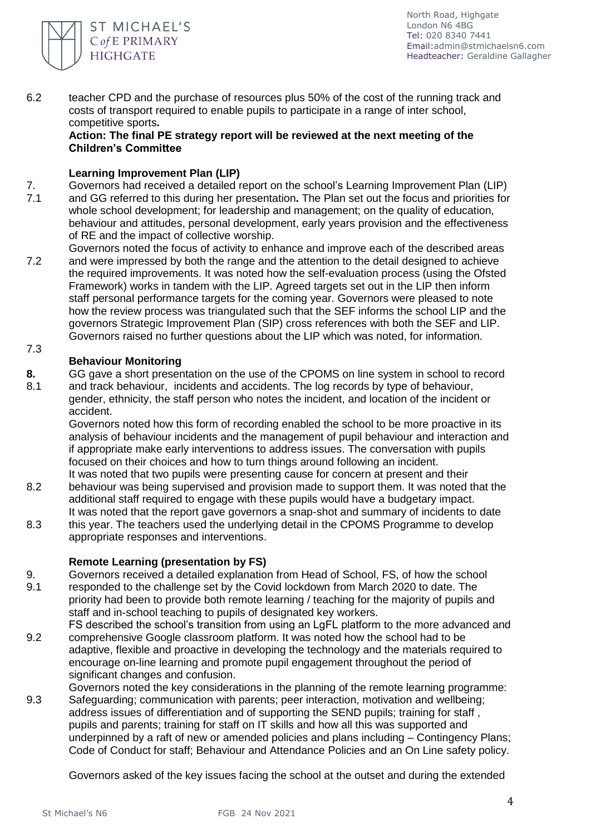

6.2 teacher CPD and the purchase of resources plus 50% of the cost of the running track and costs of transport required to enable pupils to participate in a range of inter school, competitive sports**.** 

### **Action: The final PE strategy report will be reviewed at the next meeting of the Children's Committee**

# **Learning Improvement Plan (LIP)**

- 7. 7.1 Governors had received a detailed report on the school's Learning Improvement Plan (LIP) and GG referred to this during her presentation**.** The Plan set out the focus and priorities for whole school development; for leadership and management; on the quality of education, behaviour and attitudes, personal development, early years provision and the effectiveness of RE and the impact of collective worship.
- 7.2 7.3 Governors noted the focus of activity to enhance and improve each of the described areas and were impressed by both the range and the attention to the detail designed to achieve the required improvements. It was noted how the self-evaluation process (using the Ofsted Framework) works in tandem with the LIP. Agreed targets set out in the LIP then inform staff personal performance targets for the coming year. Governors were pleased to note how the review process was triangulated such that the SEF informs the school LIP and the governors Strategic Improvement Plan (SIP) cross references with both the SEF and LIP. Governors raised no further questions about the LIP which was noted, for information.

# **Behaviour Monitoring**

- **8.** GG gave a short presentation on the use of the CPOMS on line system in school to record
- 8.1 and track behaviour, incidents and accidents. The log records by type of behaviour, gender, ethnicity, the staff person who notes the incident, and location of the incident or accident.

Governors noted how this form of recording enabled the school to be more proactive in its analysis of behaviour incidents and the management of pupil behaviour and interaction and if appropriate make early interventions to address issues. The conversation with pupils focused on their choices and how to turn things around following an incident. It was noted that two pupils were presenting cause for concern at present and their

- 8.2 behaviour was being supervised and provision made to support them. It was noted that the additional staff required to engage with these pupils would have a budgetary impact. It was noted that the report gave governors a snap-shot and summary of incidents to date
- 8.3 this year. The teachers used the underlying detail in the CPOMS Programme to develop appropriate responses and interventions.

### **Remote Learning (presentation by FS)**

- 9. Governors received a detailed explanation from Head of School, FS, of how the school
- 9.1 responded to the challenge set by the Covid lockdown from March 2020 to date. The priority had been to provide both remote learning / teaching for the majority of pupils and staff and in-school teaching to pupils of designated key workers.
- 9.2 FS described the school's transition from using an LgFL platform to the more advanced and comprehensive Google classroom platform. It was noted how the school had to be adaptive, flexible and proactive in developing the technology and the materials required to encourage on-line learning and promote pupil engagement throughout the period of significant changes and confusion.
	- Governors noted the key considerations in the planning of the remote learning programme:
- 9.3 Safeguarding; communication with parents; peer interaction, motivation and wellbeing; address issues of differentiation and of supporting the SEND pupils; training for staff , pupils and parents; training for staff on IT skills and how all this was supported and underpinned by a raft of new or amended policies and plans including – Contingency Plans; Code of Conduct for staff; Behaviour and Attendance Policies and an On Line safety policy.

Governors asked of the key issues facing the school at the outset and during the extended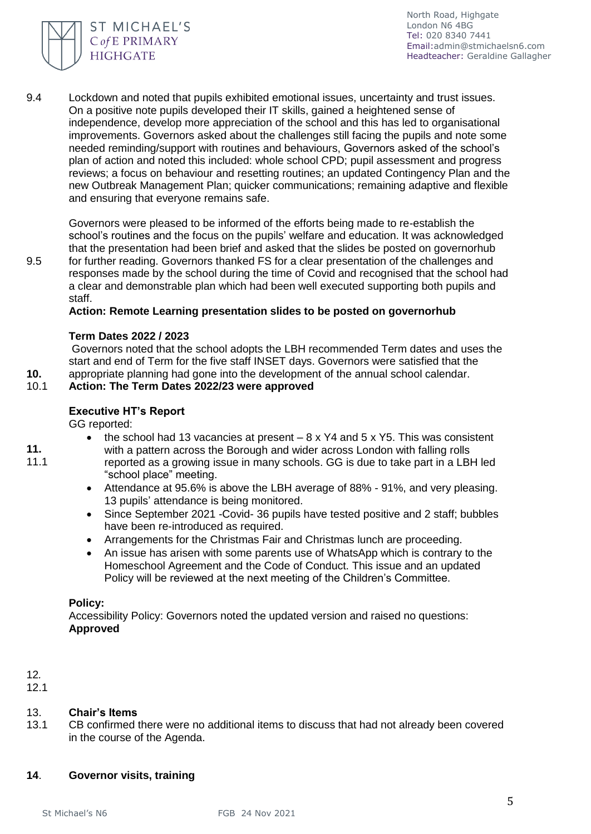

9.4 Lockdown and noted that pupils exhibited emotional issues, uncertainty and trust issues. On a positive note pupils developed their IT skills, gained a heightened sense of independence, develop more appreciation of the school and this has led to organisational improvements. Governors asked about the challenges still facing the pupils and note some needed reminding/support with routines and behaviours, Governors asked of the school's plan of action and noted this included: whole school CPD; pupil assessment and progress reviews; a focus on behaviour and resetting routines; an updated Contingency Plan and the new Outbreak Management Plan; quicker communications; remaining adaptive and flexible and ensuring that everyone remains safe.

Governors were pleased to be informed of the efforts being made to re-establish the school's routines and the focus on the pupils' welfare and education. It was acknowledged that the presentation had been brief and asked that the slides be posted on governorhub for further reading. Governors thanked FS for a clear presentation of the challenges and responses made by the school during the time of Covid and recognised that the school had a clear and demonstrable plan which had been well executed supporting both pupils and staff.

**Action: Remote Learning presentation slides to be posted on governorhub**

#### **Term Dates 2022 / 2023**

Governors noted that the school adopts the LBH recommended Term dates and uses the start and end of Term for the five staff INSET days. Governors were satisfied that the appropriate planning had gone into the development of the annual school calendar.

#### 10.1 **Action: The Term Dates 2022/23 were approved**

#### **Executive HT's Report**

GG reported:

• the school had 13 vacancies at present  $-8 \times Y4$  and  $5 \times Y5$ . This was consistent

**11.** 11.1

**10.**

9.5

- with a pattern across the Borough and wider across London with falling rolls reported as a growing issue in many schools. GG is due to take part in a LBH led "school place" meeting.
- Attendance at 95.6% is above the LBH average of 88% 91%, and very pleasing. 13 pupils' attendance is being monitored.
- Since September 2021 Covid- 36 pupils have tested positive and 2 staff; bubbles have been re-introduced as required.
- Arrangements for the Christmas Fair and Christmas lunch are proceeding.
- An issue has arisen with some parents use of WhatsApp which is contrary to the Homeschool Agreement and the Code of Conduct. This issue and an updated Policy will be reviewed at the next meeting of the Children's Committee.

#### **Policy:**

Accessibility Policy: Governors noted the updated version and raised no questions: **Approved** 

# 12*.*

12.1

#### 13. **Chair's Items**

13.1 CB confirmed there were no additional items to discuss that had not already been covered in the course of the Agenda.

#### **14**. **Governor visits, training**